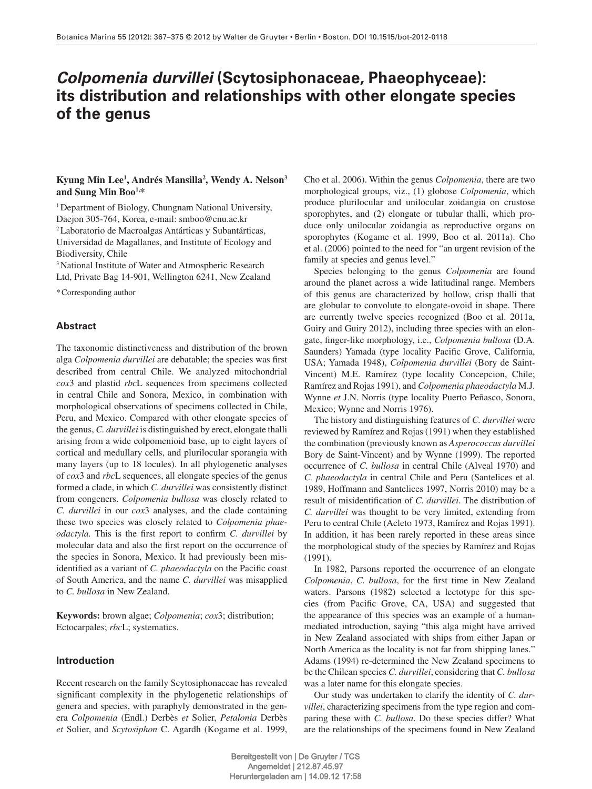# *Colpomenia durvillei* **(Scytosiphonaceae, Phaeophyceae): its distribution and relationships with other elongate species of the genus**

# Kyung Min Lee<sup>1</sup>, Andrés Mansilla<sup>2</sup>, Wendy A. Nelson<sup>3</sup> and Sung Min Boo<sup>1,\*</sup>

<sup>1</sup> Department of Biology, Chungnam National University, Daejon 305-764, Korea, e-mail: smboo@cnu.ac.kr 2 Laboratorio de Macroalgas Antárticas y Subantárticas , Universidad de Magallanes, and Institute of Ecology and Biodiversity , Chile

3 National Institute of Water and Atmospheric Research Ltd, Private Bag 14-901, Wellington 6241, New Zealand

\* Corresponding author

# **Abstract**

 The taxonomic distinctiveness and distribution of the brown alga *Colpomenia durvillei* are debatable; the species was first described from central Chile. We analyzed mitochondrial *cox*3 and plastid *rbc*L sequences from specimens collected in central Chile and Sonora, Mexico, in combination with morphological observations of specimens collected in Chile, Peru, and Mexico. Compared with other elongate species of the genus, *C. durvillei* is distinguished by erect, elongate thalli arising from a wide colpomenioid base, up to eight layers of cortical and medullary cells, and plurilocular sporangia with many layers (up to 18 locules). In all phylogenetic analyses of *cox*3 and *rbc*L sequences, all elongate species of the genus formed a clade, in which *C. durvillei* was consistently distinct from congeners. *Colpomenia bullosa* was closely related to *C. durvillei* in our *cox*<sup>3</sup> analyses, and the clade containing these two species was closely related to *Colpomenia phaeodactyla*. This is the first report to confirm *C. durvillei* by molecular data and also the first report on the occurrence of the species in Sonora, Mexico. It had previously been misidentified as a variant of *C. phaeodactyla* on the Pacific coast of South America, and the name *C. durvillei* was misapplied to *C. bullosa* in New Zealand.

**Keywords:** brown algae; *Colpomenia* ; *cox*3 ; distribution; Ectocarpales; *rbc*L; systematics.

# **Introduction**

 Recent research on the family Scytosiphonaceae has revealed significant complexity in the phylogenetic relationships of genera and species, with paraphyly demonstrated in the genera Colpomenia (Endl.) Derbès et Solier, Petalonia Derbès et Solier, and *Scytosiphon* C. Agardh (Kogame et al. 1999,

Cho et al. 2006). Within the genus *Colpomenia*, there are two morphological groups, viz., (1) globose *Colpomenia* , which produce plurilocular and unilocular zoidangia on crustose sporophytes, and (2) elongate or tubular thalli, which produce only unilocular zoidangia as reproductive organs on sporophytes (Kogame et al. 1999, Boo et al. 2011a). Cho et al. (2006) pointed to the need for " an urgent revision of the family at species and genus level."

 Species belonging to the genus *Colpomenia* are found around the planet across a wide latitudinal range. Members of this genus are characterized by hollow, crisp thalli that are globular to convolute to elongate-ovoid in shape. There are currently twelve species recognized (Boo et al. 2011a, Guiry and Guiry 2012), including three species with an elongate, finger-like morphology, i.e., *Colpomenia bullosa* (D.A. Saunders) Yamada (type locality Pacific Grove, California, USA; Yamada 1948), *Colpomenia durvillei* (Bory de Saint-Vincent) M.E. Ramírez (type locality Concepcion, Chile; Ramírez and Rojas 1991), and *Colpomenia phaeodactyla* M.J. Wynne et J.N. Norris (type locality Puerto Peñasco, Sonora, Mexico; Wynne and Norris 1976).

 The history and distinguishing features of *C. durvillei* were reviewed by Ramírez and Rojas (1991) when they established the combination (previously known as *Asperococcus durvillei* Bory de Saint-Vincent) and by Wynne (1999). The reported occurrence of *C. bullosa* in central Chile (Alveal 1970) and *C. phaeodactyla* in central Chile and Peru (Santelices et al. 1989, Hoffmann and Santelices 1997, Norris 2010) may be a result of misidentification of *C. durvillei*. The distribution of *C. durvillei* was thought to be very limited, extending from Peru to central Chile (Acleto 1973, Ramírez and Rojas 1991). In addition, it has been rarely reported in these areas since the morphological study of the species by Ramírez and Rojas (1991).

 In 1982, Parsons reported the occurrence of an elongate *Colpomenia*, *C. bullosa*, for the first time in New Zealand waters. Parsons (1982) selected a lectotype for this species (from Pacific Grove, CA, USA) and suggested that the appearance of this species was an example of a humanmediated introduction, saying "this alga might have arrived in New Zealand associated with ships from either Japan or North America as the locality is not far from shipping lanes. " Adams (1994) re-determined the New Zealand specimens to be the Chilean species *C. durvillei* , considering that *C. bullosa* was a later name for this elongate species.

 Our study was undertaken to clarify the identity of *C. durvillei* , characterizing specimens from the type region and comparing these with *C. bullosa*. Do these species differ? What are the relationships of the specimens found in New Zealand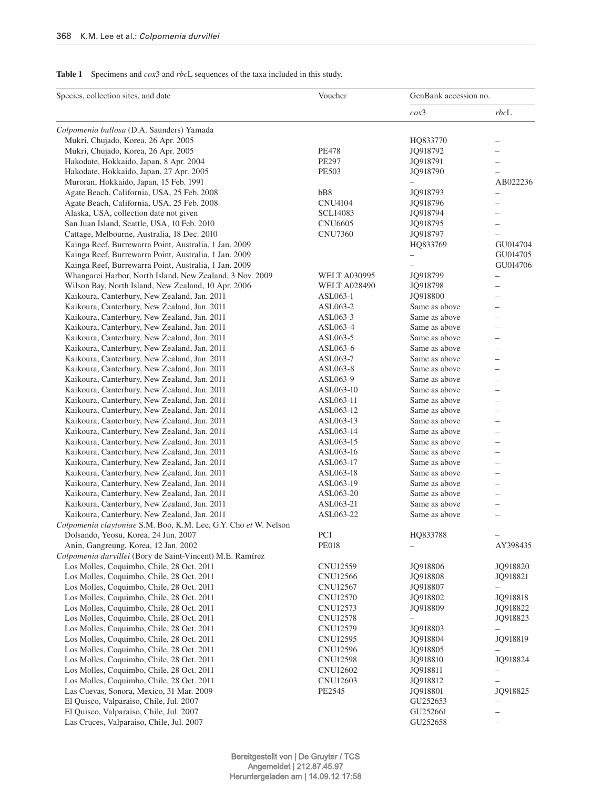**Table 1** Specimens and *cox* 3 and *rbc* L sequences of the taxa included in this study.

| Species, collection sites, and date                             | Voucher             | GenBank accession no.    |                          |
|-----------------------------------------------------------------|---------------------|--------------------------|--------------------------|
|                                                                 |                     | $\cos^3$                 | $rbc$ L                  |
| Colpomenia bullosa (D.A. Saunders) Yamada                       |                     |                          |                          |
| Mukri, Chujado, Korea, 26 Apr. 2005                             |                     | HQ833770                 |                          |
| Mukri, Chujado, Korea, 26 Apr. 2005                             | <b>PE478</b>        | JQ918792                 |                          |
| Hakodate, Hokkaido, Japan, 8 Apr. 2004                          | <b>PE297</b>        | JQ918791                 |                          |
| Hakodate, Hokkaido, Japan, 27 Apr. 2005                         | <b>PE503</b>        | JQ918790                 |                          |
| Muroran, Hokkaido, Japan, 15 Feb. 1991                          |                     |                          | AB022236                 |
| Agate Beach, California, USA, 25 Feb. 2008                      | bB8                 | JQ918793                 |                          |
| Agate Beach, California, USA, 25 Feb. 2008                      | <b>CNU4104</b>      | JQ918796                 |                          |
| Alaska, USA, collection date not given                          | <b>SCL14083</b>     | JQ918794                 |                          |
| San Juan Island, Seattle, USA, 10 Feb. 2010                     | <b>CNU6605</b>      | JO918795                 |                          |
| Cattage, Melbourne, Australia, 18 Dec. 2010                     | <b>CNU7360</b>      | JQ918797                 |                          |
| Kainga Reef, Burrewarra Point, Australia, 1 Jan. 2009           |                     | HQ833769                 | GU014704                 |
| Kainga Reef, Burrewarra Point, Australia, 1 Jan. 2009           |                     | $\overline{\phantom{0}}$ | GU014705                 |
| Kainga Reef, Burrewarra Point, Australia, 1 Jan. 2009           |                     |                          | GU014706                 |
| Whangarei Harbor, North Island, New Zealand, 3 Nov. 2009        | <b>WELT A030995</b> | JQ918799                 |                          |
| Wilson Bay, North Island, New Zealand, 10 Apr. 2006             | <b>WELT A028490</b> | JQ918798                 |                          |
| Kaikoura, Canterbury, New Zealand, Jan. 2011                    | ASL063-1            | JQ918800                 |                          |
| Kaikoura, Canterbury, New Zealand, Jan. 2011                    | ASL063-2            | Same as above            |                          |
| Kaikoura, Canterbury, New Zealand, Jan. 2011                    | ASL063-3            | Same as above            |                          |
| Kaikoura, Canterbury, New Zealand, Jan. 2011                    | ASL063-4            | Same as above            |                          |
| Kaikoura, Canterbury, New Zealand, Jan. 2011                    | ASL063-5            | Same as above            |                          |
| Kaikoura, Canterbury, New Zealand, Jan. 2011                    | ASL063-6            | Same as above            |                          |
| Kaikoura, Canterbury, New Zealand, Jan. 2011                    | ASL063-7            | Same as above            |                          |
| Kaikoura, Canterbury, New Zealand, Jan. 2011                    | ASL063-8            | Same as above            |                          |
| Kaikoura, Canterbury, New Zealand, Jan. 2011                    | ASL063-9            | Same as above            |                          |
| Kaikoura, Canterbury, New Zealand, Jan. 2011                    | ASL063-10           | Same as above            |                          |
| Kaikoura, Canterbury, New Zealand, Jan. 2011                    | ASL063-11           | Same as above            |                          |
| Kaikoura, Canterbury, New Zealand, Jan. 2011                    | ASL063-12           | Same as above            |                          |
| Kaikoura, Canterbury, New Zealand, Jan. 2011                    | ASL063-13           | Same as above            |                          |
| Kaikoura, Canterbury, New Zealand, Jan. 2011                    | ASL063-14           | Same as above            |                          |
| Kaikoura, Canterbury, New Zealand, Jan. 2011                    | ASL063-15           | Same as above            |                          |
| Kaikoura, Canterbury, New Zealand, Jan. 2011                    | ASL063-16           | Same as above            | $\overline{\phantom{0}}$ |
| Kaikoura, Canterbury, New Zealand, Jan. 2011                    | ASL063-17           | Same as above            | $\overline{\phantom{0}}$ |
| Kaikoura, Canterbury, New Zealand, Jan. 2011                    | ASL063-18           | Same as above            | L.                       |
| Kaikoura, Canterbury, New Zealand, Jan. 2011                    | ASL063-19           | Same as above            |                          |
| Kaikoura, Canterbury, New Zealand, Jan. 2011                    | ASL063-20           | Same as above            |                          |
| Kaikoura, Canterbury, New Zealand, Jan. 2011                    | ASL063-21           | Same as above            |                          |
| Kaikoura, Canterbury, New Zealand, Jan. 2011                    | ASL063-22           | Same as above            |                          |
| Colpomenia claytoniae S.M. Boo, K.M. Lee, G.Y. Cho et W. Nelson |                     |                          |                          |
| Dolsando, Yeosu, Korea, 24 Jun. 2007                            | PC1                 | HQ833788                 |                          |
| Anin, Gangreung, Korea, 12 Jan. 2002                            | <b>PE018</b>        |                          | AY398435                 |
| Colpomenia durvillei (Bory de Saint-Vincent) M.E. Ramírez       |                     |                          |                          |
| Los Molles, Coquimbo, Chile, 28 Oct. 2011                       | CNU12559            | JQ918806                 | JQ918820                 |
| Los Molles, Coquimbo, Chile, 28 Oct. 2011                       | <b>CNU12566</b>     | JQ918808                 | JQ918821                 |
| Los Molles, Coquimbo, Chile, 28 Oct. 2011                       | <b>CNU12567</b>     | JQ918807                 |                          |
| Los Molles, Coquimbo, Chile, 28 Oct. 2011                       | <b>CNU12570</b>     | JQ918802                 | JQ918818                 |
| Los Molles, Coquimbo, Chile, 28 Oct. 2011                       | CNU12573            | JQ918809                 | JQ918822                 |
| Los Molles, Coquimbo, Chile, 28 Oct. 2011                       | <b>CNU12578</b>     |                          | JQ918823                 |
| Los Molles, Coquimbo, Chile, 28 Oct. 2011                       | CNU12579            | JQ918803                 |                          |
| Los Molles, Coquimbo, Chile, 28 Oct. 2011                       | CNU12595            | JQ918804                 | JQ918819                 |
| Los Molles, Coquimbo, Chile, 28 Oct. 2011                       | <b>CNU12596</b>     | JQ918805                 |                          |
| Los Molles, Coquimbo, Chile, 28 Oct. 2011                       | <b>CNU12598</b>     | JQ918810                 | JQ918824                 |
| Los Molles, Coquimbo, Chile, 28 Oct. 2011                       | <b>CNU12602</b>     | JQ918811                 |                          |
| Los Molles, Coquimbo, Chile, 28 Oct. 2011                       | <b>CNU12603</b>     | JQ918812                 |                          |
| Las Cuevas, Sonora, Mexico, 31 Mar. 2009                        | PE2545              | JQ918801                 | JQ918825                 |
| El Quisco, Valparaiso, Chile, Jul. 2007                         |                     | GU252653                 |                          |
| El Quisco, Valparaiso, Chile, Jul. 2007                         |                     | GU252661                 |                          |
| Las Cruces, Valparaiso, Chile, Jul. 2007                        |                     | GU252658                 |                          |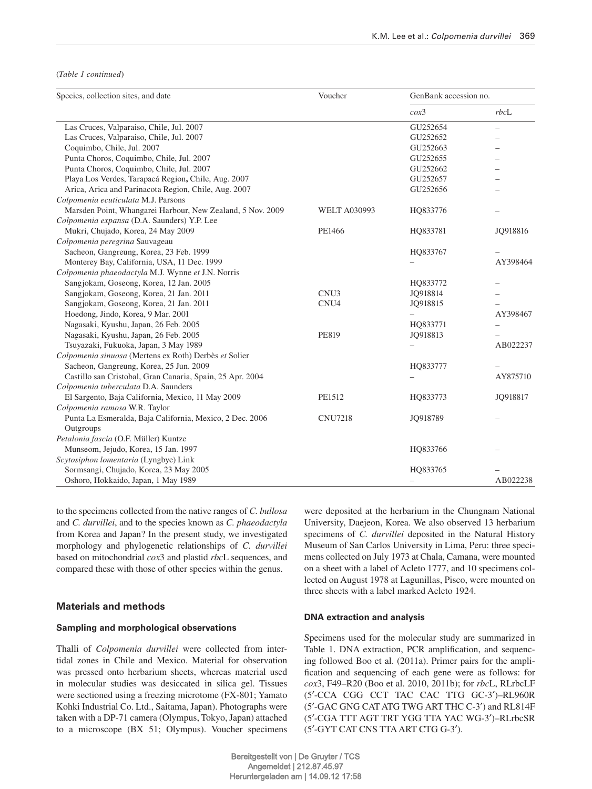(*Table 1 continued*)

| Species, collection sites, and date                        | Voucher             | GenBank accession no.    |          |
|------------------------------------------------------------|---------------------|--------------------------|----------|
|                                                            |                     | $\cos^3$                 | rbc      |
| Las Cruces, Valparaiso, Chile, Jul. 2007                   |                     | GU252654                 |          |
| Las Cruces, Valparaiso, Chile, Jul. 2007                   |                     | GU252652                 |          |
| Coquimbo, Chile, Jul. 2007                                 |                     | GU252663                 |          |
| Punta Choros, Coquimbo, Chile, Jul. 2007                   |                     | GU252655                 |          |
| Punta Choros, Coquimbo, Chile, Jul. 2007                   |                     | GU252662                 |          |
| Playa Los Verdes, Tarapacá Region, Chile, Aug. 2007        |                     | GU252657                 |          |
| Arica, Arica and Parinacota Region, Chile, Aug. 2007       |                     | GU252656                 |          |
| Colpomenia ecuticulata M.J. Parsons                        |                     |                          |          |
| Marsden Point, Whangarei Harbour, New Zealand, 5 Nov. 2009 | <b>WELT A030993</b> | HQ833776                 |          |
| Colpomenia expansa (D.A. Saunders) Y.P. Lee                |                     |                          |          |
| Mukri, Chujado, Korea, 24 May 2009                         | PE1466              | HQ833781                 | JQ918816 |
| Colpomenia peregrina Sauvageau                             |                     |                          |          |
| Sacheon, Gangreung, Korea, 23 Feb. 1999                    |                     | HQ833767                 |          |
| Monterey Bay, California, USA, 11 Dec. 1999                |                     |                          | AY398464 |
| Colpomenia phaeodactyla M.J. Wynne et J.N. Norris          |                     |                          |          |
| Sangjokam, Goseong, Korea, 12 Jan. 2005                    |                     | HQ833772                 |          |
| Sangjokam, Goseong, Korea, 21 Jan. 2011                    | CNU <sub>3</sub>    | JQ918814                 |          |
| Sangjokam, Goseong, Korea, 21 Jan. 2011                    | CNU <sub>4</sub>    | JQ918815                 |          |
| Hoedong, Jindo, Korea, 9 Mar. 2001                         |                     |                          | AY398467 |
| Nagasaki, Kyushu, Japan, 26 Feb. 2005                      |                     | HQ833771                 |          |
| Nagasaki, Kyushu, Japan, 26 Feb. 2005                      | <b>PE819</b>        | JQ918813                 |          |
| Tsuyazaki, Fukuoka, Japan, 3 May 1989                      |                     | $\overline{\phantom{0}}$ | AB022237 |
| Colpomenia sinuosa (Mertens ex Roth) Derbès et Solier      |                     |                          |          |
| Sacheon, Gangreung, Korea, 25 Jun. 2009                    |                     | HQ833777                 |          |
| Castillo san Cristobal, Gran Canaria, Spain, 25 Apr. 2004  |                     |                          | AY875710 |
| Colpomenia tuberculata D.A. Saunders                       |                     |                          |          |
| El Sargento, Baja California, Mexico, 11 May 2009          | PE1512              | HQ833773                 | JQ918817 |
| Colpomenia ramosa W.R. Taylor                              |                     |                          |          |
| Punta La Esmeralda, Baja California, Mexico, 2 Dec. 2006   | <b>CNU7218</b>      | JQ918789                 |          |
| Outgroups                                                  |                     |                          |          |
| Petalonia fascia (O.F. Müller) Kuntze                      |                     |                          |          |
| Munseom, Jejudo, Korea, 15 Jan. 1997                       |                     | HQ833766                 |          |
| Scytosiphon lomentaria (Lyngbye) Link                      |                     |                          |          |
| Sormsangi, Chujado, Korea, 23 May 2005                     |                     | HQ833765                 |          |
| Oshoro, Hokkaido, Japan, 1 May 1989                        |                     |                          | AB022238 |

to the specimens collected from the native ranges of *C. bullosa* and *C. durvillei* , and to the species known as *C. phaeodactyla* from Korea and Japan? In the present study, we investigated morphology and phylogenetic relationships of *C. durvillei* based on mitochondrial *cox*3 and plastid *rbc*L sequences, and compared these with those of other species within the genus.

# **Materials and methods**

#### **Sampling and morphological observations**

 Thalli of *Colpomenia durvillei* were collected from intertidal zones in Chile and Mexico. Material for observation was pressed onto herbarium sheets, whereas material used in molecular studies was desiccated in silica gel. Tissues were sectioned using a freezing microtome (FX-801; Yamato Kohki Industrial Co. Ltd., Saitama, Japan). Photographs were taken with a DP-71 camera (Olympus, Tokyo, Japan) attached to a microscope (BX 51; Olympus). Voucher specimens

were deposited at the herbarium in the Chungnam National University, Daejeon, Korea. We also observed 13 herbarium specimens of *C. durvillei* deposited in the Natural History Museum of San Carlos University in Lima, Peru: three specimens collected on July 1973 at Chala, Camana, were mounted on a sheet with a label of Acleto 1777, and 10 specimens collected on August 1978 at Lagunillas, Pisco, were mounted on three sheets with a label marked Acleto 1924.

#### **DNA extraction and analysis**

 Specimens used for the molecular study are summarized in Table 1. DNA extraction, PCR amplification, and sequencing followed Boo et al. (2011a). Primer pairs for the amplification and sequencing of each gene were as follows: for *cox* 3, F49-R20 (Boo et al. 2010, 2011b); for *rbc*L, RLrbcLF (5'-CCA CGG CCT TAC CAC TTG GC-3')-RL960R (5 ′ -GAC GNG CAT ATG TWG ART THC C-3 ′ ) and RL814F (5 ′ -CGA TTT AGT TRT YGG TTA YAC WG-3 ′ ) – RLrbcSR (5'-GYT CAT CNS TTA ART CTG G-3').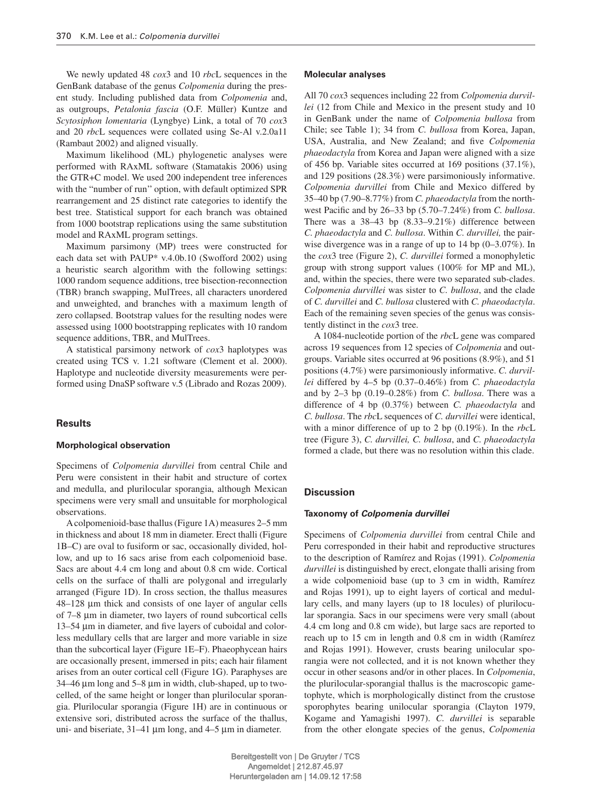We newly updated 48 *cox* 3 and 10 *rbc*L sequences in the GenBank database of the genus *Colpomenia* during the present study. Including published data from *Colpomenia* and, as outgroups, Petalonia fascia (O.F. Müller) Kuntze and *Scytosiphon lomentaria* (Lyngbye) Link, a total of 70 *cox*3 and 20 *rbc*L sequences were collated using Se-Al v.2.0a11 (Rambaut 2002) and aligned visually.

 Maximum likelihood (ML) phylogenetic analyses were performed with RAxML software (Stamatakis 2006) using the GTR+C model. We used 200 independent tree inferences with the "number of run" option, with default optimized SPR rearrangement and 25 distinct rate categories to identify the best tree. Statistical support for each branch was obtained from 1000 bootstrap replications using the same substitution model and RAxML program settings.

 Maximum parsimony (MP) trees were constructed for each data set with PAUP\* v.4.0b.10 (Swofford 2002) using a heuristic search algorithm with the following settings: 1000 random sequence additions, tree bisection-reconnection (TBR) branch swapping, MulTrees, all characters unordered and unweighted, and branches with a maximum length of zero collapsed. Bootstrap values for the resulting nodes were assessed using 1000 bootstrapping replicates with 10 random sequence additions, TBR, and MulTrees.

A statistical parsimony network of *cox*3 haplotypes was created using TCS v. 1.21 software (Clement et al. 2000). Haplotype and nucleotide diversity measurements were performed using DnaSP software v.5 (Librado and Rozas 2009).

#### **Results**

#### **Morphological observation**

 Specimens of *Colpomenia durvillei* from central Chile and Peru were consistent in their habit and structure of cortex and medulla, and plurilocular sporangia, although Mexican specimens were very small and unsuitable for morphological observations.

A colpomenioid-base thallus (Figure 1A) measures 2–5 mm in thickness and about 18 mm in diameter. Erect thalli (Figure 1B–C) are oval to fusiform or sac, occasionally divided, hollow, and up to 16 sacs arise from each colpomenioid base. Sacs are about 4.4 cm long and about 0.8 cm wide. Cortical cells on the surface of thalli are polygonal and irregularly arranged (Figure 1D). In cross section, the thallus measures 48-128 μm thick and consists of one layer of angular cells of 7–8 μm in diameter, two layers of round subcortical cells 13–54 μm in diameter, and five layers of cuboidal and colorless medullary cells that are larger and more variable in size than the subcortical layer (Figure 1E–F). Phaeophycean hairs are occasionally present, immersed in pits; each hair filament arises from an outer cortical cell (Figure 1G). Paraphyses are  $34 - 46$  μm long and  $5 - 8$  μm in width, club-shaped, up to twocelled, of the same height or longer than plurilocular sporangia. Plurilocular sporangia (Figure 1H) are in continuous or extensive sori, distributed across the surface of the thallus, uni- and biseriate,  $31-41$  µm long, and  $4-5$  µm in diameter.

#### **Molecular analyses**

All 70 *cox*3 sequences including 22 from *Colpomenia durvillei* (12 from Chile and Mexico in the present study and 10 in GenBank under the name of *Colpomenia bullosa* from Chile; see Table 1); 34 from *C. bullosa* from Korea, Japan, USA, Australia, and New Zealand; and five *Colpomenia phaeodactyla* from Korea and Japan were aligned with a size of 456 bp. Variable sites occurred at 169 positions  $(37.1\%)$ , and 129 positions  $(28.3\%)$  were parsimoniously informative. *Colpomenia durvillei* from Chile and Mexico differed by 35 – 40 bp (7.90 – 8.77 % ) from *C. phaeodactyla* from the northwest Pacific and by 26–33 bp (5.70–7.24%) from *C. bullosa*. There was a  $38-43$  bp  $(8.33-9.21\%)$  difference between *C. phaeodactyla* and *C. bullosa* . Within *C. durvillei,* the pairwise divergence was in a range of up to  $14$  bp  $(0-3.07\%)$ . In the *cox*3 tree (Figure 2), *C. durvillei* formed a monophyletic group with strong support values  $(100\%$  for MP and ML), and, within the species, there were two separated sub-clades. *Colpomenia durvillei* was sister to *C. bullosa*, and the clade of *C. durvillei* and *C. bullosa* clustered with *C. phaeodactyla* . Each of the remaining seven species of the genus was consistently distinct in the *cox*3 tree.

A 1084-nucleotide portion of the *rbc*L gene was compared across 19 sequences from 12 species of *Colpomenia* and outgroups. Variable sites occurred at 96 positions (8.9%), and 51 positions (4.7%) were parsimoniously informative. *C. durvillei* differed by 4-5 bp (0.37-0.46%) from *C. phaeodactyla* and by  $2-3$  bp  $(0.19-0.28\%)$  from *C. bullosa*. There was a difference of 4 bp (0.37%) between *C. phaeodactyla* and *C. bullosa* . The *rbc* L sequences of *C. durvillei* were identical, with a minor difference of up to 2 bp (0.19%). In the *rbc*L tree (Figure 3), *C. durvillei, C. bullosa*, and *C. phaeodactyla* formed a clade, but there was no resolution within this clade.

#### **Discussion**

#### **Taxonomy of** *Colpomenia durvillei*

 Specimens of *Colpomenia durvillei* from central Chile and Peru corresponded in their habit and reproductive structures to the description of Ramírez and Rojas (1991). *Colpomenia durvillei* is distinguished by erect, elongate thalli arising from a wide colpomenioid base (up to 3 cm in width, Ramírez and Rojas 1991), up to eight layers of cortical and medullary cells, and many layers (up to 18 locules) of plurilocular sporangia. Sacs in our specimens were very small (about 4.4 cm long and 0.8 cm wide), but large sacs are reported to reach up to 15 cm in length and 0.8 cm in width (Ramírez and Rojas 1991). However, crusts bearing unilocular sporangia were not collected, and it is not known whether they occur in other seasons and/or in other places. In *Colpomenia* , the plurilocular-sporangial thallus is the macroscopic gametophyte, which is morphologically distinct from the crustose sporophytes bearing unilocular sporangia (Clayton 1979, Kogame and Yamagishi 1997). *C. durvillei* is separable from the other elongate species of the genus, *Colpomenia*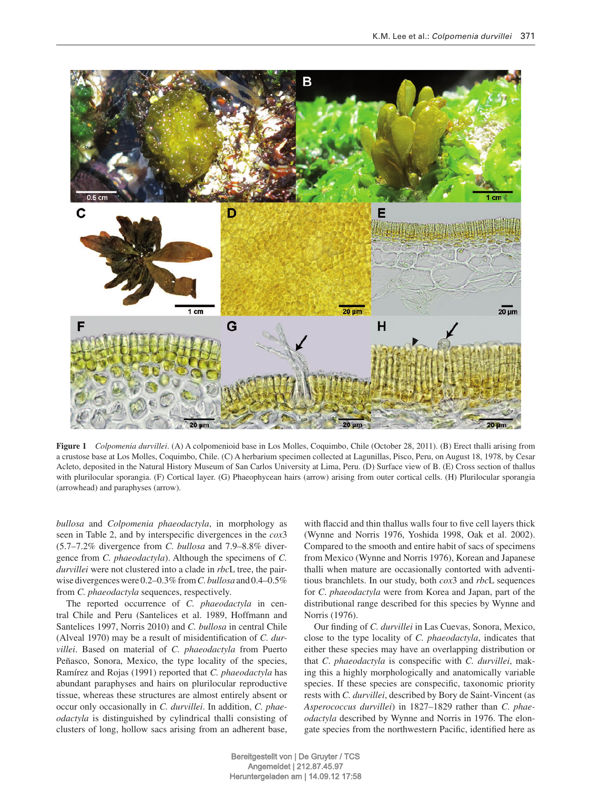

**Figure 1** *Colpomenia durvillei* . (A) A colpomenioid base in Los Molles, Coquimbo, Chile (October 28, 2011). (B) Erect thalli arising from a crustose base at Los Molles, Coquimbo, Chile. (C) A herbarium specimen collected at Lagunillas, Pisco, Peru, on August 18, 1978, by Cesar Acleto, deposited in the Natural History Museum of San Carlos University at Lima, Peru. (D) Surface view of B. (E) Cross section of thallus with plurilocular sporangia. (F) Cortical layer. (G) Phaeophycean hairs (arrow) arising from outer cortical cells. (H) Plurilocular sporangia (arrowhead) and paraphyses (arrow).

*bullosa* and *Colpomenia phaeodactyla* , in morphology as seen in Table 2, and by interspecific divergences in the  $\cos 3$ (5.7 – 7.2 % divergence from *C. bullosa* and 7.9 – 8.8 % divergence from *C. phaeodactyla* ). Although the specimens of *C. durvillei* were not clustered into a clade in *rbc*L tree, the pairwise divergences were  $0.2-0.3\%$  from *C. bullosa* and  $0.4-0.5\%$ from *C. phaeodactyla* sequences, respectively.

 The reported occurrence of *C. phaeodactyla* in central Chile and Peru (Santelices et al. 1989 , Hoffmann and Santelices 1997, Norris 2010) and *C. bullosa* in central Chile (Alveal 1970) may be a result of misidentification of *C. durvillei*. Based on material of *C. phaeodactyla* from Puerto Peñasco, Sonora, Mexico, the type locality of the species, Ramírez and Rojas (1991) reported that *C. phaeodactyla* has abundant paraphyses and hairs on plurilocular reproductive tissue, whereas these structures are almost entirely absent or occur only occasionally in *C. durvillei* . In addition, *C. phaeodactyla* is distinguished by cylindrical thalli consisting of clusters of long, hollow sacs arising from an adherent base,

with flaccid and thin thallus walls four to five cell layers thick (Wynne and Norris 1976, Yoshida 1998, Oak et al. 2002). Compared to the smooth and entire habit of sacs of specimens from Mexico (Wynne and Norris 1976), Korean and Japanese thalli when mature are occasionally contorted with adventitious branchlets. In our study, both *cox*3 and *rbc*L sequences for *C* . *phaeodactyla* were from Korea and Japan, part of the distributional range described for this species by Wynne and Norris (1976).

Our finding of *C. durvillei* in Las Cuevas, Sonora, Mexico, close to the type locality of *C. phaeodactyla* , indicates that either these species may have an overlapping distribution or that *C. phaeodactyla* is conspecific with *C. durvillei*, making this a highly morphologically and anatomically variable species. If these species are conspecific, taxonomic priority rests with *C. durvillei*, described by Bory de Saint-Vincent (as Asperococcus durvillei) in 1827–1829 rather than *C. phaeodactyla* described by Wynne and Norris in 1976. The elongate species from the northwestern Pacific, identified here as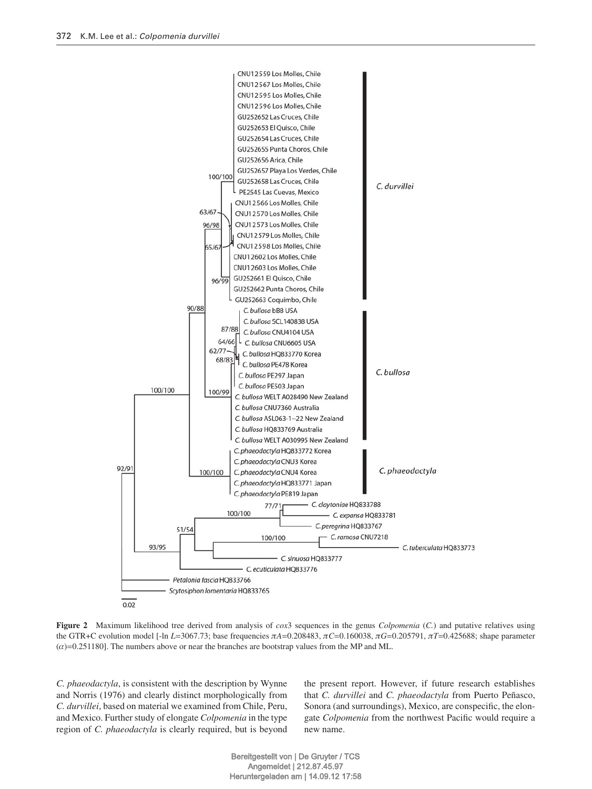

**Figure 2** Maximum likelihood tree derived from analysis of *cox*3 sequences in the genus *Colpomenia* (*C.*) and putative relatives using the GTR+C evolution model [-ln *L*=3067.73; base frequencies  $πA=0.208483$ ,  $πC=0.160038$ ,  $πG=0.205791$ ,  $πT=0.425688$ ; shape parameter  $\alpha$  =0.251180]. The numbers above or near the branches are bootstrap values from the MP and ML.

*C. phaeodactyla* , is consistent with the description by Wynne and Norris (1976) and clearly distinct morphologically from *C. durvillei* , based on material we examined from Chile, Peru, and Mexico. Further study of elongate *Colpomenia* in the type region of *C. phaeodactyla* is clearly required, but is beyond the present report. However, if future research establishes that *C. durvillei* and *C. phaeodactyla* from Puerto Peñasco, Sonora (and surroundings), Mexico, are conspecific, the elongate *Colpomenia* from the northwest Pacific would require a new name.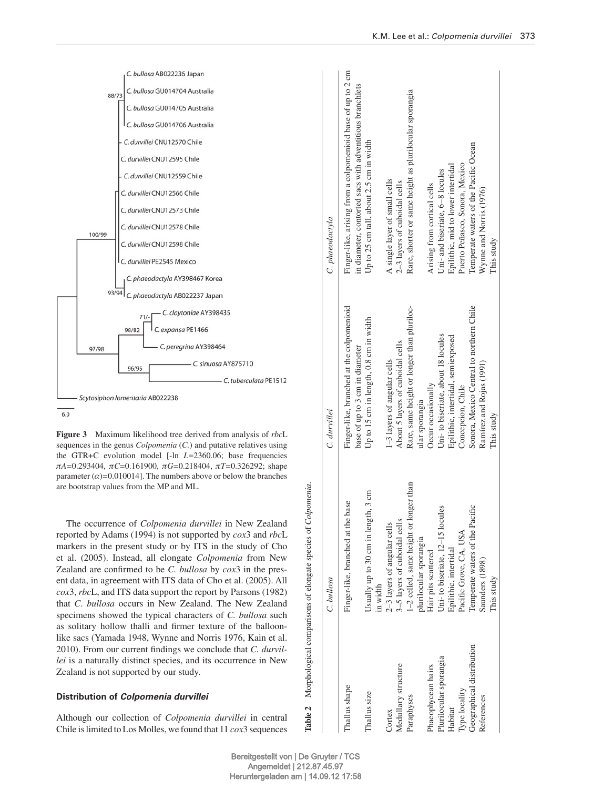

**Figure 3** Maximum likelihood tree derived from analysis of *rbc*L sequences in the genus *Colpomenia* (*C*.) and putative relatives using the GTR+C evolution model [-ln *L*=2360.06; base frequencies  $\pi A = 0.293404$ ,  $\pi C = 0.161900$ ,  $\pi G = 0.218404$ ,  $\pi T = 0.326292$ ; shape parameter  $(\alpha)$ =0.010014]. The numbers above or below the branches are bootstrap values from the MP and ML.

 The occurrence of *Colpomenia durvillei* in New Zealand reported by Adams (1994) is not supported by *cox*3 and *rbc*L markers in the present study or by ITS in the study of Cho et al. (2005) . Instead, all elongate *Colpomenia* from New Zealand are confirmed to be *C. bullosa* by *cox*3 in the present data, in agreement with ITS data of Cho et al. (2005) . All *cox* 3, *rbc* L, and ITS data support the report by Parsons (1982) that *C* . *bullosa* occurs in New Zealand. The New Zealand specimens showed the typical characters of *C. bullosa* such as solitary hollow thalli and firmer texture of the balloonlike sacs (Yamada 1948, Wynne and Norris 1976, Kain et al. 2010). From our current findings we conclude that *C. durvillei* is a naturally distinct species, and its occurrence in New Zealand is not supported by our study.

#### **Distribution of** *Colpomenia durvillei*

 Although our collection of *Colpomenia durvillei* in central Chile is limited to Los Molles, we found that 11 *cox*3 sequences

|                           | C. bullosa                                                   | C. durvillei                                                                | C. phaeodactyla                                                                                                         |
|---------------------------|--------------------------------------------------------------|-----------------------------------------------------------------------------|-------------------------------------------------------------------------------------------------------------------------|
| Thallus shape             | Finger-like, branched at the base                            | Finger-like, branched at the colpomenioid<br>base of up to 3 cm in diameter | Finger-like, arising from a colpomenioid base of up to 2 cm<br>in diameter, contorted sacs with adventitious branchlets |
| Thallus size              | $3 \text{ cm}$<br>Usually up to 30 cm in length,<br>in width | Up to 15 cm in length, 0.8 cm in width                                      | Up to 25 cm tall, about 2.5 cm in width                                                                                 |
| Cortex                    | 2-3 layers of angular cells                                  | 1-3 layers of angular cells                                                 | A single layer of small cells                                                                                           |
| Medullary structure       | 3-5 layers of cuboidal cells                                 | About 5 layers of cuboidal cells                                            | 2-3 layers of cuboidal cells                                                                                            |
| Paraphyses                | 1-2 celled, same height or longer than                       | Rare, same height or longer than pluriloc-                                  | Rare, shorter or same height as plurilocular sporangia                                                                  |
|                           | plurilocular sporangia                                       | ular sporangia                                                              |                                                                                                                         |
| Phaeophycean hairs        | Hair pits scattered                                          | Occur occasionally                                                          | Arising from cortical cells                                                                                             |
| Plurilocular sporangia    | Uni- to biseriate, 12-15 locules                             | Uni- to biseriate, about 18 locules                                         | Uni- and biseriate, 6-8 locules                                                                                         |
| Habitat                   | Epilithic, intertidal                                        | Epilithic, intertidal, semiexposed                                          | Epilithic, mid to lower intertidal                                                                                      |
| Type locality             | Pacific Grove, CA, USA                                       | Concepcion, Chile                                                           | Puerto Peñasco, Sonora, Mexico                                                                                          |
| Geographical distribution | Temperate waters of the Pacific                              | Sonora, Mexico Central to northern Chile                                    | Temperate waters of the Pacific Ocean                                                                                   |
| References                | Saunders (1898)                                              | Ramírez and Rojas (1991)                                                    | Wynne and Norris (1976)                                                                                                 |
|                           | This study                                                   | This study                                                                  | This study                                                                                                              |

Bereitgestellt von | De Gruyter / TCS Angemeldet | 212.87.45.97 Heruntergeladen am | 14.09.12 17:58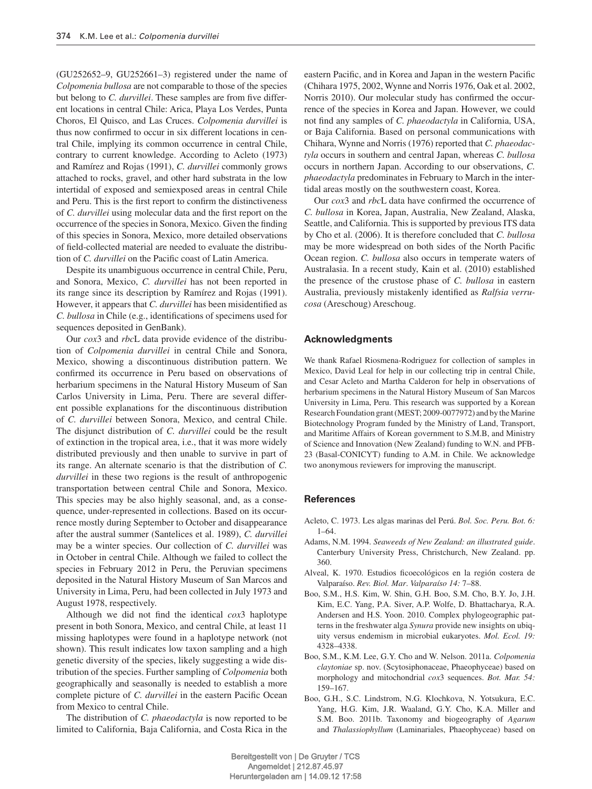$(GU252652-9, GU252661-3)$  registered under the name of *Colpomenia bullosa* are not comparable to those of the species but belong to *C. durvillei*. These samples are from five different locations in central Chile: Arica, Playa Los Verdes, Punta Choros, El Quisco, and Las Cruces. *Colpomenia durvillei* is thus now confirmed to occur in six different locations in central Chile, implying its common occurrence in central Chile, contrary to current knowledge. According to Acleto (1973) and Ramírez and Rojas (1991), *C. durvillei* commonly grows attached to rocks, gravel, and other hard substrata in the low intertidal of exposed and semiexposed areas in central Chile and Peru. This is the first report to confirm the distinctiveness of *C. durvillei* using molecular data and the first report on the occurrence of the species in Sonora, Mexico. Given the finding of this species in Sonora, Mexico, more detailed observations of field-collected material are needed to evaluate the distribution of *C. durvillei* on the Pacific coast of Latin America.

 Despite its unambiguous occurrence in central Chile, Peru, and Sonora, Mexico, *C. durvillei* has not been reported in its range since its description by Ramírez and Rojas (1991). However, it appears that *C. durvillei* has been misidentified as *C. bullosa* in Chile (e.g., identifications of specimens used for sequences deposited in GenBank).

Our *cox*3 and *rbc*L data provide evidence of the distribution of *Colpomenia durvillei* in central Chile and Sonora, Mexico, showing a discontinuous distribution pattern. We confirmed its occurrence in Peru based on observations of herbarium specimens in the Natural History Museum of San Carlos University in Lima, Peru. There are several different possible explanations for the discontinuous distribution of *C. durvillei* between Sonora, Mexico, and central Chile. The disjunct distribution of *C. durvillei* could be the result of extinction in the tropical area, i.e., that it was more widely distributed previously and then unable to survive in part of its range. An alternate scenario is that the distribution of *C. durvillei* in these two regions is the result of anthropogenic transportation between central Chile and Sonora, Mexico. This species may be also highly seasonal, and, as a consequence, under-represented in collections. Based on its occurrence mostly during September to October and disappearance after the austral summer (Santelices et al. 1989 ), *C. durvillei* may be a winter species. Our collection of *C. durvillei* was in October in central Chile. Although we failed to collect the species in February 2012 in Peru, the Peruvian specimens deposited in the Natural History Museum of San Marcos and University in Lima, Peru, had been collected in July 1973 and August 1978, respectively.

Although we did not find the identical *cox*<sup>3</sup> haplotype present in both Sonora, Mexico, and central Chile, at least 11 missing haplotypes were found in a haplotype network (not shown). This result indicates low taxon sampling and a high genetic diversity of the species, likely suggesting a wide distribution of the species. Further sampling of *Colpomenia* both geographically and seasonally is needed to establish a more complete picture of *C. durvillei* in the eastern Pacific Ocean from Mexico to central Chile.

 The distribution of *C. phaeodactyla* is now reported to be limited to California, Baja California, and Costa Rica in the eastern Pacific, and in Korea and Japan in the western Pacific (Chihara 1975, 2002, Wynne and Norris 1976 , Oak et al. 2002 , Norris 2010). Our molecular study has confirmed the occurrence of the species in Korea and Japan. However, we could not find any samples of *C. phaeodactyla* in California, USA, or Baja California. Based on personal communications with Chihara, Wynne and Norris (1976) reported that *C. phaeodactyla* occurs in southern and central Japan, whereas *C. bullosa* occurs in northern Japan. According to our observations, *C. phaeodactyla* predominates in February to March in the intertidal areas mostly on the southwestern coast, Korea.

Our *cox*3 and *rbc*L data have confirmed the occurrence of *C. bullosa* in Korea, Japan, Australia, New Zealand, Alaska, Seattle, and California. This is supported by previous ITS data by Cho et al. (2006) . It is therefore concluded that *C. bullosa* may be more widespread on both sides of the North Pacific Ocean region. *C. bullosa* also occurs in temperate waters of Australasia. In a recent study, Kain et al. (2010) established the presence of the crustose phase of *C. bullosa* in eastern Australia, previously mistakenly identified as *Ralfsia verrucosa* (Areschoug) Areschoug.

### **Acknowledgments**

 We thank Rafael Riosmena-Rodriguez for collection of samples in Mexico, David Leal for help in our collecting trip in central Chile, and Cesar Acleto and Martha Calderon for help in observations of herbarium specimens in the Natural History Museum of San Marcos University in Lima, Peru. This research was supported by a Korean Research Foundation grant (MEST; 2009-0077972) and by the Marine Biotechnology Program funded by the Ministry of Land, Transport, and Maritime Affairs of Korean government to S.M.B, and Ministry of Science and Innovation (New Zealand) funding to W.N. and PFB-23 (Basal-CONICYT) funding to A.M. in Chile. We acknowledge two anonymous reviewers for improving the manuscript.

#### **References**

- Acleto, C. 1973. Les algas marinas del Perú. Bol. Soc. Peru. Bot. 6:  $1 - 64.$
- Adams, N.M. 1994. *Seaweeds of New Zealand: an illustrated guide* . Canterbury University Press, Christchurch, New Zealand. pp. 360.
- Alveal, K. 1970. Estudios ficoecológicos en la región costera de Valparaíso. *Rev. Biol. Mar. Valparaíso 14:* 7-88.
- Boo, S.M., H.S. Kim, W. Shin, G.H. Boo, S.M. Cho, B.Y. Jo, J.H. Kim, E.C. Yang, P.A. Siver, A.P. Wolfe, D. Bhattacharya, R.A. Andersen and H.S. Yoon. 2010. Complex phylogeographic patterns in the freshwater alga *Synura* provide new insights on ubiquity versus endemism in microbial eukaryotes. *Mol. Ecol. 19:* 4328-4338.
- Boo, S.M., K.M. Lee, G.Y. Cho and W. Nelson. 2011a. *Colpomenia claytoniae* sp. nov. (Scytosiphonaceae, Phaeophyceae) based on morphology and mitochondrial *cox*3 sequences. *Bot. Mar.* 54: 159 – 167.
- Boo, G.H., S.C. Lindstrom, N.G. Klochkova, N. Yotsukura, E.C. Yang, H.G. Kim, J.R. Waaland, G.Y. Cho, K.A. Miller and S.M. Boo. 2011b. Taxonomy and biogeography of *Agarum* and *Thalassiophyllum* (Laminariales, Phaeophyceae) based on